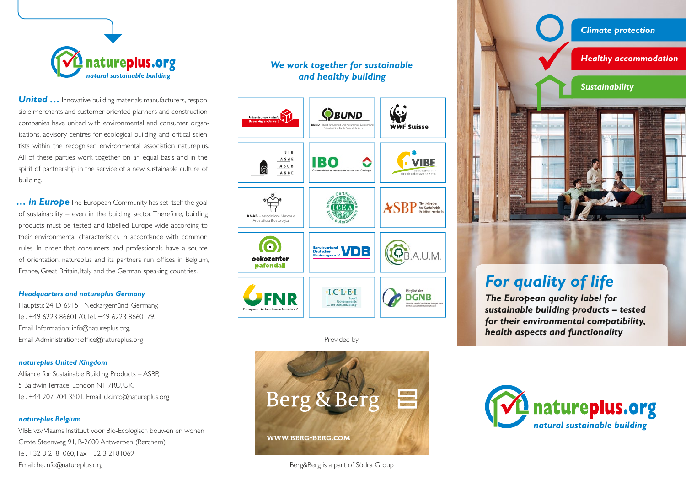

**United ...** Innovative building materials manufacturers, responsible merchants and customer-oriented planners and construction companies have united with environmental and consumer organisations, advisory centres for ecological building and critical scientists within the recognised environmental association natureplus. All of these parties work together on an equal basis and in the spirit of partnership in the service of a new sustainable culture of building.

*… in Europe* The European Community has set itself the goal of sustainability – even in the building sector. Therefore, building products must be tested and labelled Europe-wide according to their environmental characteristics in accordance with common rules. In order that consumers and professionals have a source of orientation, natureplus and its partners run offices in Belgium, France, Great Britain, Italy and the German-speaking countries.

#### *Headquarters and natureplus Germany*

Hauptstr. 24, D-69151 Neckargemünd, Germany, Tel. +49 6223 8660170, Tel. +49 6223 8660179, Email Information: info@natureplus.org, Email Administration: office@natureplus.org

## *natureplus United Kingdom*

Alliance for Sustainable Building Products – ASBP, 5 Baldwin Terrace, London N1 7RU, UK, Tel. +44 207 704 3501, Email: uk.info@natureplus.org

### *natureplus Belgium*

VIBE vzv Vlaams Instituut voor Bio-Ecologisch bouwen en wonen Grote Steenweg 91, B-2600 Antwerpen (Berchem) Tel. +32 3 2181060, Fax +32 3 2181069 Email: be.info@natureplus.org

## *We work together for sustainable and healthy building*



Provided by:



Berg&Berg is a part of Södra Group



# *For quality of life*

*The European quality label for sustainable building products – tested for their environmental compatibility, health aspects and functionality*